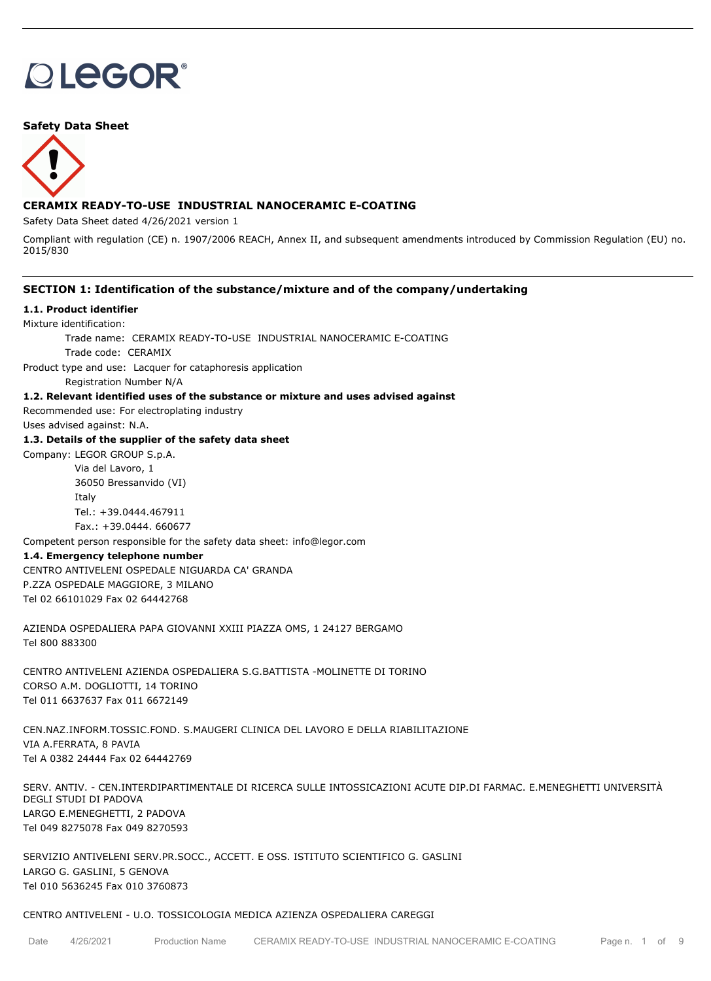# **OLEGOR®**

## **Safety Data Sheet**



# **CERAMIX READY-TO-USE INDUSTRIAL NANOCERAMIC E-COATING**

Safety Data Sheet dated 4/26/2021 version 1

Compliant with regulation (CE) n. 1907/2006 REACH, Annex II, and subsequent amendments introduced by Commission Regulation (EU) no. 2015/830

## **SECTION 1: Identification of the substance/mixture and of the company/undertaking**

## **1.1. Product identifier**

Mixture identification:

Trade name: CERAMIX READY-TO-USE INDUSTRIAL NANOCERAMIC E-COATING

Trade code: CERAMIX

Product type and use: Lacquer for cataphoresis application

Registration Number N/A

# **1.2. Relevant identified uses of the substance or mixture and uses advised against**

Recommended use: For electroplating industry

Uses advised against: N.A.

## **1.3. Details of the supplier of the safety data sheet**

Company: LEGOR GROUP S.p.A.

Via del Lavoro, 1 36050 Bressanvido (VI) Italy Tel.: +39.0444.467911 Fax.: +39.0444. 660677

Competent person responsible for the safety data sheet: info@legor.com

## **1.4. Emergency telephone number**

CENTRO ANTIVELENI OSPEDALE NIGUARDA CA' GRANDA P.ZZA OSPEDALE MAGGIORE, 3 MILANO Tel 02 66101029 Fax 02 64442768

AZIENDA OSPEDALIERA PAPA GIOVANNI XXIII PIAZZA OMS, 1 24127 BERGAMO Tel 800 883300

CENTRO ANTIVELENI AZIENDA OSPEDALIERA S.G.BATTISTA -MOLINETTE DI TORINO CORSO A.M. DOGLIOTTI, 14 TORINO Tel 011 6637637 Fax 011 6672149

CEN.NAZ.INFORM.TOSSIC.FOND. S.MAUGERI CLINICA DEL LAVORO E DELLA RIABILITAZIONE VIA A.FERRATA, 8 PAVIA Tel A 0382 24444 Fax 02 64442769

SERV. ANTIV. - CEN.INTERDIPARTIMENTALE DI RICERCA SULLE INTOSSICAZIONI ACUTE DIP.DI FARMAC. E.MENEGHETTI UNIVERSITÀ DEGLI STUDI DI PADOVA LARGO E.MENEGHETTI, 2 PADOVA Tel 049 8275078 Fax 049 8270593

SERVIZIO ANTIVELENI SERV.PR.SOCC., ACCETT. E OSS. ISTITUTO SCIENTIFICO G. GASLINI LARGO G. GASLINI, 5 GENOVA Tel 010 5636245 Fax 010 3760873

# CENTRO ANTIVELENI - U.O. TOSSICOLOGIA MEDICA AZIENZA OSPEDALIERA CAREGGI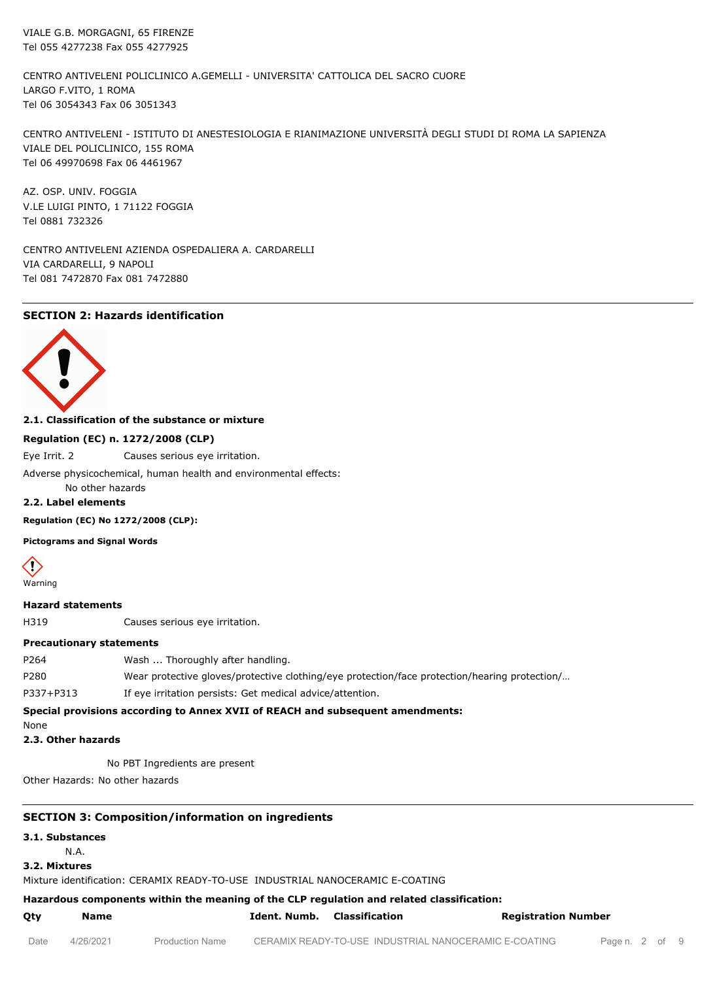VIALE G.B. MORGAGNI, 65 FIRENZE Tel 055 4277238 Fax 055 4277925

CENTRO ANTIVELENI POLICLINICO A.GEMELLI - UNIVERSITA' CATTOLICA DEL SACRO CUORE LARGO F.VITO, 1 ROMA Tel 06 3054343 Fax 06 3051343

CENTRO ANTIVELENI - ISTITUTO DI ANESTESIOLOGIA E RIANIMAZIONE UNIVERSITÀ DEGLI STUDI DI ROMA LA SAPIENZA VIALE DEL POLICLINICO, 155 ROMA Tel 06 49970698 Fax 06 4461967

AZ. OSP. UNIV. FOGGIA V.LE LUIGI PINTO, 1 71122 FOGGIA Tel 0881 732326

CENTRO ANTIVELENI AZIENDA OSPEDALIERA A. CARDARELLI VIA CARDARELLI, 9 NAPOLI Tel 081 7472870 Fax 081 7472880

# **SECTION 2: Hazards identification**



**2.1. Classification of the substance or mixture**

## **Regulation (EC) n. 1272/2008 (CLP)**

Eye Irrit. 2 Causes serious eye irritation.

Adverse physicochemical, human health and environmental effects:

#### No other hazards **2.2. Label elements**

**Regulation (EC) No 1272/2008 (CLP):**

**Pictograms and Signal Words**



Warning

## **Hazard statements**

H319 Causes serious eye irritation.

#### **Precautionary statements**

| P264 | Wash  Thoroughly after handling.                                                              |
|------|-----------------------------------------------------------------------------------------------|
| P280 | Wear protective gloves/protective clothing/eye protection/face protection/hearing protection/ |

P337+P313 If eye irritation persists: Get medical advice/attention.

## **Special provisions according to Annex XVII of REACH and subsequent amendments:**

None

# **2.3. Other hazards**

No PBT Ingredients are present

Other Hazards: No other hazards

# **SECTION 3: Composition/information on ingredients**

**3.1. Substances**

N.A.

#### **3.2. Mixtures**

Mixture identification: CERAMIX READY-TO-USE INDUSTRIAL NANOCERAMIC E-COATING

# **Hazardous components within the meaning of the CLP regulation and related classification:**

| Qty | Name | Ident. Numb. Classification |  | <b>Registration Number</b> |
|-----|------|-----------------------------|--|----------------------------|
|-----|------|-----------------------------|--|----------------------------|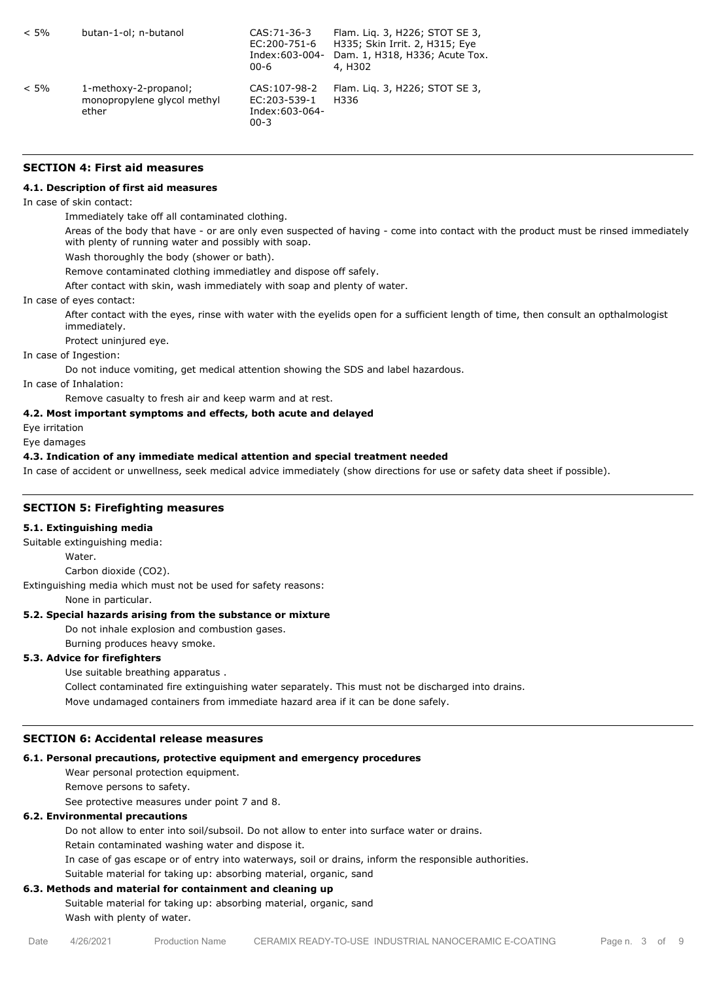| $< 5\%$ | butan-1-ol; n-butanol                                         | CAS: 71-36-3<br>EC:200-751-6<br>Index:603-004-<br>$00 - 6$  | Flam. Lig. 3, H226; STOT SE 3,<br>H335; Skin Irrit. 2, H315; Eye<br>Dam. 1, H318, H336; Acute Tox.<br>4, H302 |
|---------|---------------------------------------------------------------|-------------------------------------------------------------|---------------------------------------------------------------------------------------------------------------|
| $< 5\%$ | 1-methoxy-2-propanol;<br>monopropylene glycol methyl<br>ether | CAS: 107-98-2<br>EC:203-539-1<br>Index:603-064-<br>$00 - 3$ | Flam. Lig. 3, H226; STOT SE 3,<br>H336                                                                        |

## **SECTION 4: First aid measures**

#### **4.1. Description of first aid measures**

#### In case of skin contact:

Immediately take off all contaminated clothing.

Areas of the body that have - or are only even suspected of having - come into contact with the product must be rinsed immediately with plenty of running water and possibly with soap.

Wash thoroughly the body (shower or bath).

Remove contaminated clothing immediatley and dispose off safely.

After contact with skin, wash immediately with soap and plenty of water.

In case of eyes contact:

After contact with the eyes, rinse with water with the eyelids open for a sufficient length of time, then consult an opthalmologist immediately.

Protect uninjured eye.

In case of Ingestion:

Do not induce vomiting, get medical attention showing the SDS and label hazardous.

In case of Inhalation:

Remove casualty to fresh air and keep warm and at rest.

## **4.2. Most important symptoms and effects, both acute and delayed**

Eye irritation

Eye damages

#### **4.3. Indication of any immediate medical attention and special treatment needed**

In case of accident or unwellness, seek medical advice immediately (show directions for use or safety data sheet if possible).

## **SECTION 5: Firefighting measures**

#### **5.1. Extinguishing media**

Suitable extinguishing media:

Water

Carbon dioxide (CO2).

Extinguishing media which must not be used for safety reasons:

None in particular.

#### **5.2. Special hazards arising from the substance or mixture**

Do not inhale explosion and combustion gases.

Burning produces heavy smoke.

# **5.3. Advice for firefighters**

Use suitable breathing apparatus .

Collect contaminated fire extinguishing water separately. This must not be discharged into drains.

Move undamaged containers from immediate hazard area if it can be done safely.

## **SECTION 6: Accidental release measures**

## **6.1. Personal precautions, protective equipment and emergency procedures**

Wear personal protection equipment.

Remove persons to safety.

See protective measures under point 7 and 8.

## **6.2. Environmental precautions**

Do not allow to enter into soil/subsoil. Do not allow to enter into surface water or drains.

Retain contaminated washing water and dispose it.

In case of gas escape or of entry into waterways, soil or drains, inform the responsible authorities.

Suitable material for taking up: absorbing material, organic, sand

# **6.3. Methods and material for containment and cleaning up**

Suitable material for taking up: absorbing material, organic, sand Wash with plenty of water.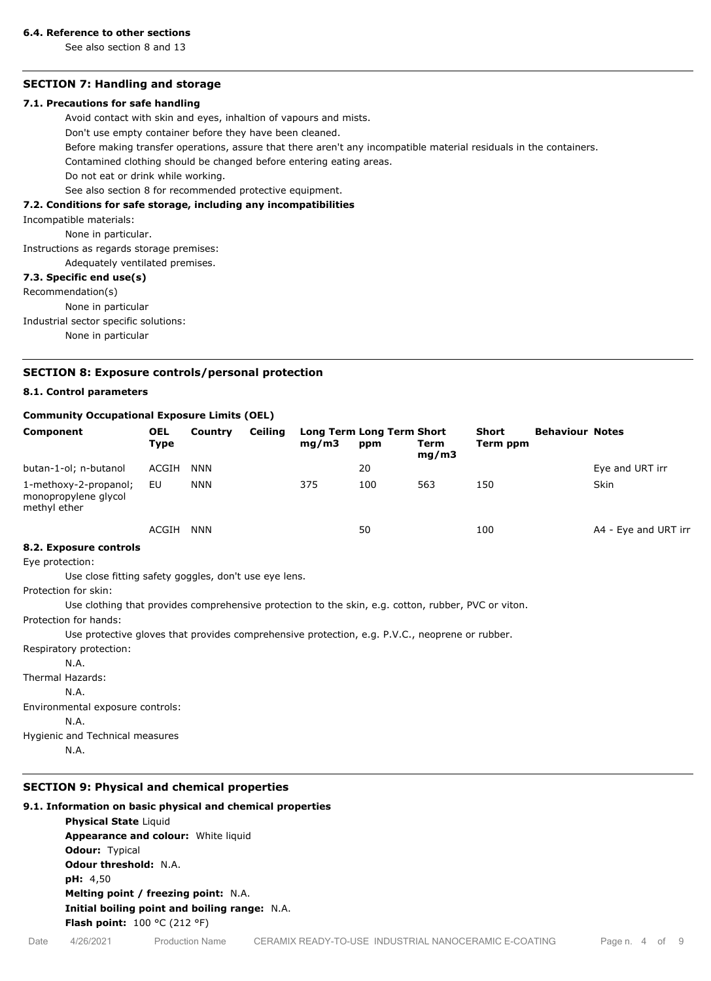#### **6.4. Reference to other sections**

See also section 8 and 13

# **SECTION 7: Handling and storage**

#### **7.1. Precautions for safe handling**

Avoid contact with skin and eyes, inhaltion of vapours and mists.

Don't use empty container before they have been cleaned.

Before making transfer operations, assure that there aren't any incompatible material residuals in the containers.

Contamined clothing should be changed before entering eating areas.

Do not eat or drink while working.

See also section 8 for recommended protective equipment.

#### **7.2. Conditions for safe storage, including any incompatibilities**

Incompatible materials:

None in particular.

Instructions as regards storage premises:

Adequately ventilated premises.

#### **7.3. Specific end use(s)**

Recommendation(s)

None in particular

Industrial sector specific solutions:

None in particular

#### **SECTION 8: Exposure controls/personal protection**

## **8.1. Control parameters**

#### **Community Occupational Exposure Limits (OEL)**

| Component                                                     | <b>OEL</b><br><b>Type</b> | Country    | <b>Ceiling</b> | mq/m3 | <b>Long Term Long Term Short</b><br>ppm | Term<br>mg/m3 | <b>Short</b><br>Term ppm | <b>Behaviour Notes</b> |                      |
|---------------------------------------------------------------|---------------------------|------------|----------------|-------|-----------------------------------------|---------------|--------------------------|------------------------|----------------------|
| butan-1-ol; n-butanol                                         | ACGIH                     | <b>NNN</b> |                |       | 20                                      |               |                          |                        | Eye and URT irr      |
| 1-methoxy-2-propanol;<br>monopropylene glycol<br>methyl ether | EU                        | <b>NNN</b> |                | 375   | 100                                     | 563           | 150                      |                        | Skin                 |
|                                                               | ACGIH                     | NNN        |                |       | 50                                      |               | 100                      |                        | A4 - Eye and URT irr |

#### **8.2. Exposure controls**

Eye protection:

Use close fitting safety goggles, don't use eye lens.

Protection for skin:

Use clothing that provides comprehensive protection to the skin, e.g. cotton, rubber, PVC or viton.

Protection for hands:

Use protective gloves that provides comprehensive protection, e.g. P.V.C., neoprene or rubber.

Respiratory protection: N.A.

Thermal Hazards:

N.A.

Environmental exposure controls:

N.A.

Hygienic and Technical measures

N.A.

## **SECTION 9: Physical and chemical properties**

#### **9.1. Information on basic physical and chemical properties**

**Physical State** Liquid **Appearance and colour:** White liquid **Odour:** Typical **Odour threshold:** N.A. **pH:** 4,50 **Melting point / freezing point:** N.A. **Initial boiling point and boiling range:** N.A. **Flash point:** 100 °C (212 °F)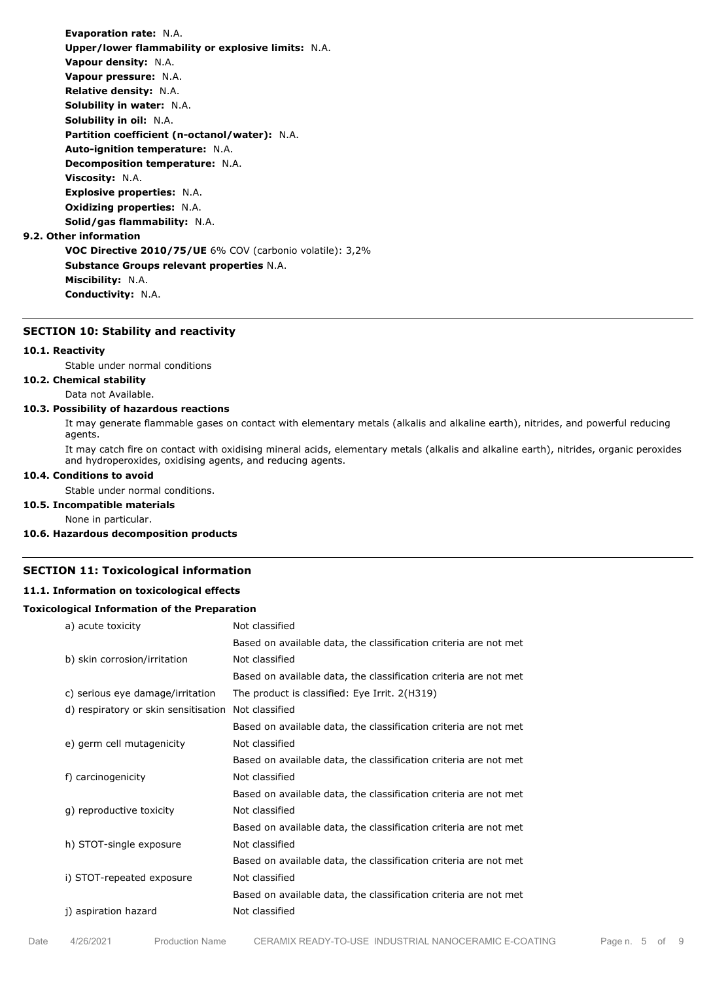**Evaporation rate:** N.A. **Upper/lower flammability or explosive limits:** N.A. **Vapour density:** N.A. **Vapour pressure:** N.A. **Relative density:** N.A. **Solubility in water:** N.A. **Solubility in oil:** N.A. **Partition coefficient (n-octanol/water):** N.A. **Auto-ignition temperature:** N.A. **Decomposition temperature:** N.A. **Viscosity:** N.A. **Explosive properties:** N.A. **Oxidizing properties:** N.A. **Solid/gas flammability:** N.A. **9.2. Other information VOC Directive 2010/75/UE** 6% COV (carbonio volatile): 3,2% **Substance Groups relevant properties** N.A. **Miscibility:** N.A. **Conductivity:** N.A.

# **SECTION 10: Stability and reactivity**

# **10.1. Reactivity**

Stable under normal conditions

# **10.2. Chemical stability**

Data not Available.

## **10.3. Possibility of hazardous reactions**

It may generate flammable gases on contact with elementary metals (alkalis and alkaline earth), nitrides, and powerful reducing agents.

It may catch fire on contact with oxidising mineral acids, elementary metals (alkalis and alkaline earth), nitrides, organic peroxides and hydroperoxides, oxidising agents, and reducing agents.

#### **10.4. Conditions to avoid**

Stable under normal conditions.

## **10.5. Incompatible materials**

None in particular.

## **10.6. Hazardous decomposition products**

## **SECTION 11: Toxicological information**

## **11.1. Information on toxicological effects**

#### **Toxicological Information of the Preparation**

| a) acute toxicity                    | Not classified                                                   |
|--------------------------------------|------------------------------------------------------------------|
|                                      | Based on available data, the classification criteria are not met |
| b) skin corrosion/irritation         | Not classified                                                   |
|                                      | Based on available data, the classification criteria are not met |
| c) serious eye damage/irritation     | The product is classified: Eye Irrit. 2(H319)                    |
| d) respiratory or skin sensitisation | Not classified                                                   |
|                                      | Based on available data, the classification criteria are not met |
| e) germ cell mutagenicity            | Not classified                                                   |
|                                      | Based on available data, the classification criteria are not met |
| f) carcinogenicity                   | Not classified                                                   |
|                                      | Based on available data, the classification criteria are not met |
| q) reproductive toxicity             | Not classified                                                   |
|                                      | Based on available data, the classification criteria are not met |
| h) STOT-single exposure              | Not classified                                                   |
|                                      | Based on available data, the classification criteria are not met |
| i) STOT-repeated exposure            | Not classified                                                   |
|                                      | Based on available data, the classification criteria are not met |
| j) aspiration hazard                 | Not classified                                                   |
|                                      |                                                                  |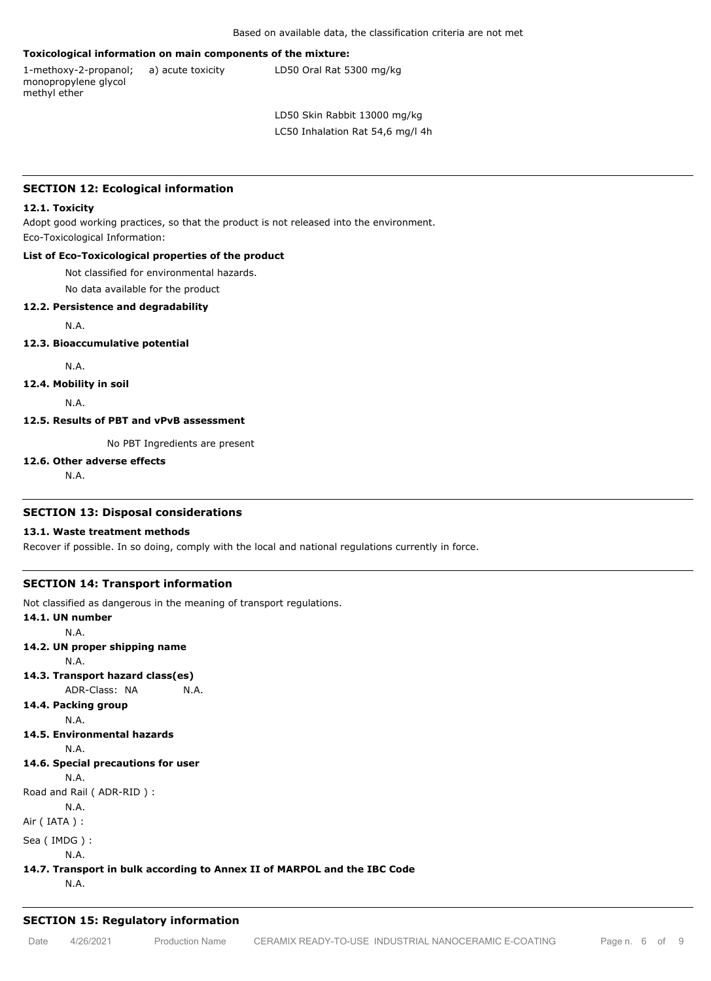### **Toxicological information on main components of the mixture:**

1-methoxy-2-propanol; monopropylene glycol methyl ether

a) acute toxicity LD50 Oral Rat 5300 mg/kg

LD50 Skin Rabbit 13000 mg/kg LC50 Inhalation Rat 54,6 mg/l 4h

#### **SECTION 12: Ecological information**

#### **12.1. Toxicity**

Adopt good working practices, so that the product is not released into the environment. Eco-Toxicological Information:

## **List of Eco-Toxicological properties of the product**

Not classified for environmental hazards.

No data available for the product

#### **12.2. Persistence and degradability**

N.A.

#### **12.3. Bioaccumulative potential**

N.A.

**12.4. Mobility in soil**

N.A.

#### **12.5. Results of PBT and vPvB assessment**

No PBT Ingredients are present

#### **12.6. Other adverse effects**

N.A.

#### **SECTION 13: Disposal considerations**

#### **13.1. Waste treatment methods**

Recover if possible. In so doing, comply with the local and national regulations currently in force.

## **SECTION 14: Transport information**

Not classified as dangerous in the meaning of transport regulations.

# **14.1. UN number** N.A. **14.2. UN proper shipping name** N.A. **14.3. Transport hazard class(es)** ADR-Class: NA N.A. **14.4. Packing group** N.A. **14.5. Environmental hazards** N.A. **14.6. Special precautions for user** N.A. Road and Rail ( ADR-RID ) : N.A. Air ( IATA ) : Sea ( IMDG ) : N.A. **14.7. Transport in bulk according to Annex II of MARPOL and the IBC Code** N.A.

#### **SECTION 15: Regulatory information**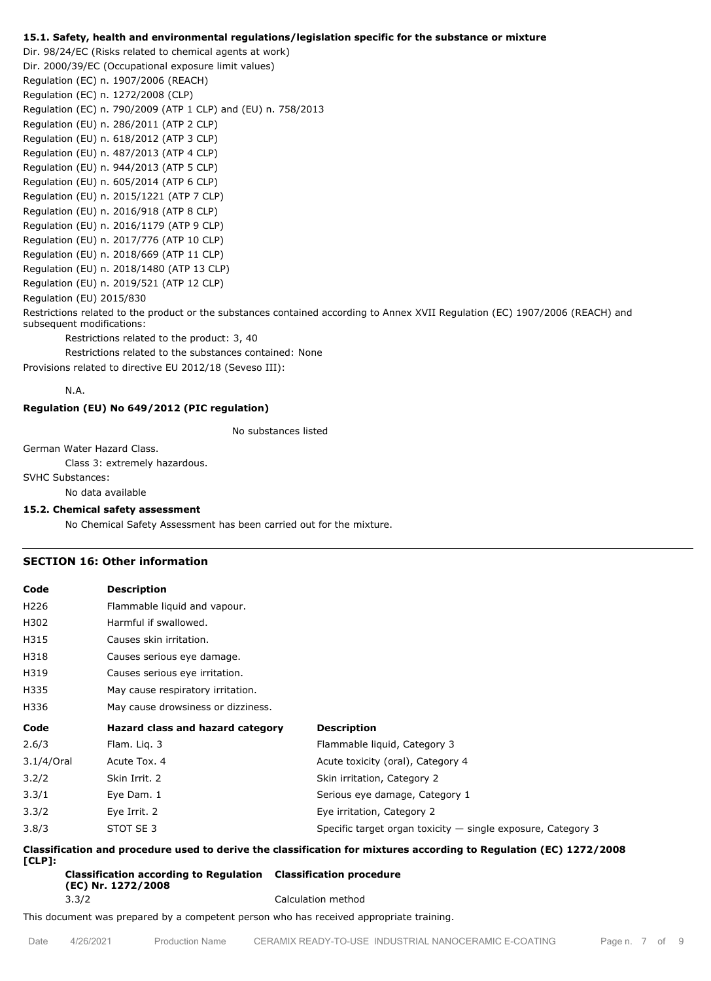#### **15.1. Safety, health and environmental regulations/legislation specific for the substance or mixture**

Dir. 98/24/EC (Risks related to chemical agents at work) Dir. 2000/39/EC (Occupational exposure limit values) Regulation (EC) n. 1907/2006 (REACH) Regulation (EC) n. 1272/2008 (CLP) Regulation (EC) n. 790/2009 (ATP 1 CLP) and (EU) n. 758/2013 Regulation (EU) n. 286/2011 (ATP 2 CLP) Regulation (EU) n. 618/2012 (ATP 3 CLP) Regulation (EU) n. 487/2013 (ATP 4 CLP) Regulation (EU) n. 944/2013 (ATP 5 CLP) Regulation (EU) n. 605/2014 (ATP 6 CLP) Regulation (EU) n. 2015/1221 (ATP 7 CLP) Regulation (EU) n. 2016/918 (ATP 8 CLP) Regulation (EU) n. 2016/1179 (ATP 9 CLP) Regulation (EU) n. 2017/776 (ATP 10 CLP) Regulation (EU) n. 2018/669 (ATP 11 CLP) Regulation (EU) n. 2018/1480 (ATP 13 CLP) Regulation (EU) n. 2019/521 (ATP 12 CLP) Regulation (EU) 2015/830 Restrictions related to the product or the substances contained according to Annex XVII Regulation (EC) 1907/2006 (REACH) and subsequent modifications: Restrictions related to the product: 3, 40

Restrictions related to the substances contained: None

Provisions related to directive EU 2012/18 (Seveso III):

N.A.

## **Regulation (EU) No 649/2012 (PIC regulation)**

No substances listed

German Water Hazard Class.

Class 3: extremely hazardous.

SVHC Substances:

No data available

#### **15.2. Chemical safety assessment**

No Chemical Safety Assessment has been carried out for the mixture.

# **SECTION 16: Other information**

| Code       | <b>Description</b>                 |                                                                |  |  |
|------------|------------------------------------|----------------------------------------------------------------|--|--|
| H226       | Flammable liquid and vapour.       |                                                                |  |  |
| H302       | Harmful if swallowed.              |                                                                |  |  |
| H315       | Causes skin irritation.            |                                                                |  |  |
| H318       | Causes serious eye damage.         |                                                                |  |  |
| H319       | Causes serious eye irritation.     |                                                                |  |  |
| H335       | May cause respiratory irritation.  |                                                                |  |  |
| H336       | May cause drowsiness or dizziness. |                                                                |  |  |
| Code       | Hazard class and hazard category   | <b>Description</b>                                             |  |  |
| 2.6/3      | Flam. Lig. 3                       | Flammable liquid, Category 3                                   |  |  |
| 3.1/4/Oral | Acute Tox. 4                       | Acute toxicity (oral), Category 4                              |  |  |
| 3.2/2      | Skin Irrit. 2                      | Skin irritation, Category 2                                    |  |  |
| 3.3/1      | Eye Dam. 1                         | Serious eye damage, Category 1                                 |  |  |
| 3.3/2      | Eye Irrit. 2                       | Eye irritation, Category 2                                     |  |  |
| 3.8/3      | STOT SE 3                          | Specific target organ toxicity $-$ single exposure, Category 3 |  |  |

**Classification and procedure used to derive the classification for mixtures according to Regulation (EC) 1272/2008 [CLP]:**

**Classification according to Regulation Classification procedure (EC) Nr. 1272/2008** 3.3/2 Calculation method

This document was prepared by a competent person who has received appropriate training.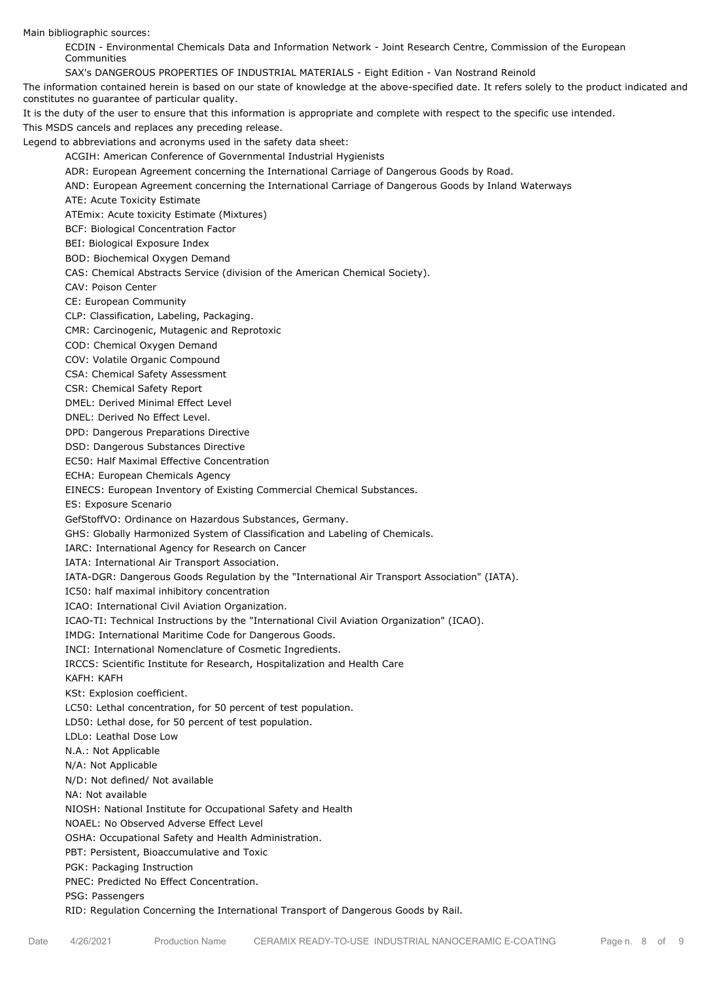Main bibliographic sources:

ECDIN - Environmental Chemicals Data and Information Network - Joint Research Centre, Commission of the European Communities

SAX's DANGEROUS PROPERTIES OF INDUSTRIAL MATERIALS - Eight Edition - Van Nostrand Reinold

The information contained herein is based on our state of knowledge at the above-specified date. It refers solely to the product indicated and constitutes no guarantee of particular quality.

It is the duty of the user to ensure that this information is appropriate and complete with respect to the specific use intended.

This MSDS cancels and replaces any preceding release.

Legend to abbreviations and acronyms used in the safety data sheet:

ACGIH: American Conference of Governmental Industrial Hygienists

ADR: European Agreement concerning the International Carriage of Dangerous Goods by Road.

AND: European Agreement concerning the International Carriage of Dangerous Goods by Inland Waterways

ATE: Acute Toxicity Estimate

ATEmix: Acute toxicity Estimate (Mixtures)

BCF: Biological Concentration Factor

BEI: Biological Exposure Index

BOD: Biochemical Oxygen Demand

CAS: Chemical Abstracts Service (division of the American Chemical Society).

CAV: Poison Center

CE: European Community

CLP: Classification, Labeling, Packaging.

CMR: Carcinogenic, Mutagenic and Reprotoxic

COD: Chemical Oxygen Demand

COV: Volatile Organic Compound

CSA: Chemical Safety Assessment

CSR: Chemical Safety Report

DMEL: Derived Minimal Effect Level

DNEL: Derived No Effect Level.

DPD: Dangerous Preparations Directive

DSD: Dangerous Substances Directive

EC50: Half Maximal Effective Concentration

ECHA: European Chemicals Agency

EINECS: European Inventory of Existing Commercial Chemical Substances.

ES: Exposure Scenario

GefStoffVO: Ordinance on Hazardous Substances, Germany.

GHS: Globally Harmonized System of Classification and Labeling of Chemicals.

IARC: International Agency for Research on Cancer

IATA: International Air Transport Association.

IATA-DGR: Dangerous Goods Regulation by the "International Air Transport Association" (IATA).

IC50: half maximal inhibitory concentration

ICAO: International Civil Aviation Organization.

ICAO-TI: Technical Instructions by the "International Civil Aviation Organization" (ICAO).

IMDG: International Maritime Code for Dangerous Goods.

INCI: International Nomenclature of Cosmetic Ingredients.

IRCCS: Scientific Institute for Research, Hospitalization and Health Care

KAFH: KAFH

KSt: Explosion coefficient.

LC50: Lethal concentration, for 50 percent of test population.

LD50: Lethal dose, for 50 percent of test population.

LDLo: Leathal Dose Low

N.A.: Not Applicable

N/A: Not Applicable

N/D: Not defined/ Not available

NA: Not available

NIOSH: National Institute for Occupational Safety and Health

NOAEL: No Observed Adverse Effect Level

OSHA: Occupational Safety and Health Administration.

PBT: Persistent, Bioaccumulative and Toxic

PGK: Packaging Instruction

PNEC: Predicted No Effect Concentration.

PSG: Passengers

RID: Regulation Concerning the International Transport of Dangerous Goods by Rail.